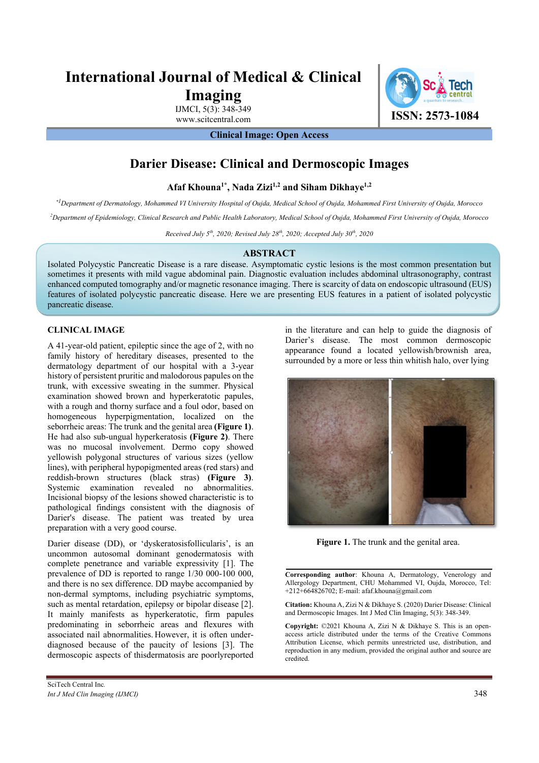# **International Journal of Medical & Clinical Imaging**

IJMCI, 5(3): 348-349

www.scitcentral.com **ISSN: 2573-1084** 

**Clinical Image: Open Access** 

# **Darier Disease: Clinical and Dermoscopic Images**

**Afaf Khouna1\*, Nada Zizi1,2 and Siham Dikhaye1,2**

*\*1 Department of Dermatology, Mohammed VI University Hospital of Oujda, Medical School of Oujda, Mohammed First University of Oujda, Morocco*

*2 Department of Epidemiology, Clinical Research and Public Health Laboratory, Medical School of Oujda, Mohammed First University of Oujda, Morocco* 

*Received July 5th, 2020; Revised July 28th, 2020; Accepted July 30th, 2020* 

## **ABSTRACT**

Isolated Polycystic Pancreatic Disease is a rare disease. Asymptomatic cystic lesions is the most common presentation but sometimes it presents with mild vague abdominal pain. Diagnostic evaluation includes abdominal ultrasonography, contrast enhanced computed tomography and/or magnetic resonance imaging. There is scarcity of data on endoscopic ultrasound (EUS) features of isolated polycystic pancreatic disease. Here we are presenting EUS features in a patient of isolated polycystic pancreatic disease.

# **CLINICAL IMAGE**

A 41-year-old patient, epileptic since the age of 2, with no family history of hereditary diseases, presented to the dermatology department of our hospital with a 3-year history of persistent pruritic and malodorous papules on the trunk, with excessive sweating in the summer. Physical examination showed brown and hyperkeratotic papules, with a rough and thorny surface and a foul odor, based on homogeneous hyperpigmentation, localized on the seborrheic areas: The trunk and the genital area **(Figure 1)**. He had also sub-ungual hyperkeratosis **(Figure 2)**. There was no mucosal involvement. Dermo copy showed yellowish polygonal structures of various sizes (yellow lines), with peripheral hypopigmented areas (red stars) and reddish-brown structures (black stras) **(Figure 3)**. Systemic examination revealed no abnormalities. Incisional biopsy of the lesions showed characteristic is to pathological findings consistent with the diagnosis of Darier's disease. The patient was treated by urea preparation with a very good course.

Darier disease (DD), or 'dyskeratosisfollicularis', is an uncommon autosomal dominant genodermatosis with complete penetrance and variable expressivity [1]. The prevalence of DD is reported to range 1/30 000-100 000, and there is no sex difference. DD maybe accompanied by non-dermal symptoms, including psychiatric symptoms, such as mental retardation, epilepsy or bipolar disease [2]. It mainly manifests as hyperkeratotic, firm papules predominating in seborrheic areas and flexures with associated nail abnormalities. However, it is often underdiagnosed because of the paucity of lesions [3]. The dermoscopic aspects of thisdermatosis are poorlyreported

in the literature and can help to guide the diagnosis of Darier's disease. The most common dermoscopic appearance found a located yellowish/brownish area, surrounded by a more or less thin whitish halo, over lying



**Figure 1.** The trunk and the genital area.

**Corresponding author**: Khouna A, Dermatology, Venerology and Allergology Department, CHU Mohammed VI, Oujda, Morocco, Tel: +212+664826702; E-mail: afaf.khouna@gmail.com

**Citation:** Khouna A, Zizi N & Dikhaye S. (2020) Darier Disease: Clinical and Dermoscopic Images. Int J Med Clin Imaging, 5(3): 348-349.

**Copyright:** ©2021 Khouna A, Zizi N & Dikhaye S. This is an openaccess article distributed under the terms of the Creative Commons Attribution License, which permits unrestricted use, distribution, and reproduction in any medium, provided the original author and source are credited.